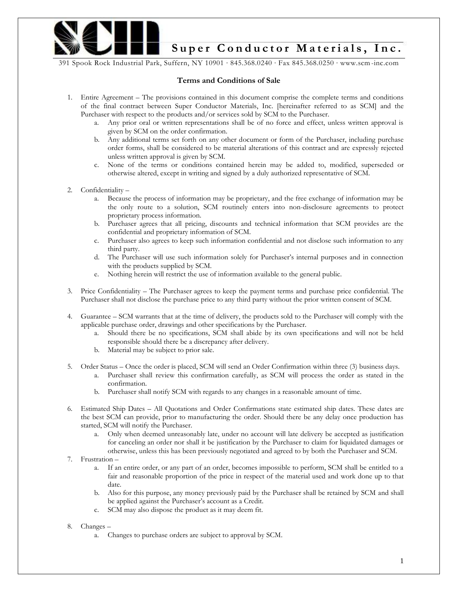

391 Spook Rock Industrial Park, Suffern, NY 10901 ∙ 845.368.0240 ∙ Fax 845.368.0250 ∙ www.scm-inc.com

## **Terms and Conditions of Sale**

- 1. Entire Agreement The provisions contained in this document comprise the complete terms and conditions of the final contract between Super Conductor Materials, Inc. [hereinafter referred to as SCM] and the Purchaser with respect to the products and/or services sold by SCM to the Purchaser.
	- a. Any prior oral or written representations shall be of no force and effect, unless written approval is given by SCM on the order confirmation.
	- b. Any additional terms set forth on any other document or form of the Purchaser, including purchase order forms, shall be considered to be material alterations of this contract and are expressly rejected unless written approval is given by SCM.
	- c. None of the terms or conditions contained herein may be added to, modified, superseded or otherwise altered, except in writing and signed by a duly authorized representative of SCM.
- 2. Confidentiality
	- a. Because the process of information may be proprietary, and the free exchange of information may be the only route to a solution, SCM routinely enters into non-disclosure agreements to protect proprietary process information.
	- b. Purchaser agrees that all pricing, discounts and technical information that SCM provides are the confidential and proprietary information of SCM.
	- c. Purchaser also agrees to keep such information confidential and not disclose such information to any third party.
	- d. The Purchaser will use such information solely for Purchaser's internal purposes and in connection with the products supplied by SCM.
	- e. Nothing herein will restrict the use of information available to the general public.
- 3. Price Confidentiality The Purchaser agrees to keep the payment terms and purchase price confidential. The Purchaser shall not disclose the purchase price to any third party without the prior written consent of SCM.
- 4. Guarantee SCM warrants that at the time of delivery, the products sold to the Purchaser will comply with the applicable purchase order, drawings and other specifications by the Purchaser.
	- a. Should there be no specifications, SCM shall abide by its own specifications and will not be held responsible should there be a discrepancy after delivery.
	- b. Material may be subject to prior sale.
- 5. Order Status Once the order is placed, SCM will send an Order Confirmation within three (3) business days.
	- a. Purchaser shall review this confirmation carefully, as SCM will process the order as stated in the confirmation.
	- b. Purchaser shall notify SCM with regards to any changes in a reasonable amount of time.
- 6. Estimated Ship Dates All Quotations and Order Confirmations state estimated ship dates. These dates are the best SCM can provide, prior to manufacturing the order. Should there be any delay once production has started, SCM will notify the Purchaser.
	- a. Only when deemed unreasonably late, under no account will late delivery be accepted as justification for canceling an order nor shall it be justification by the Purchaser to claim for liquidated damages or otherwise, unless this has been previously negotiated and agreed to by both the Purchaser and SCM.
- 7. Frustration
	- a. If an entire order, or any part of an order, becomes impossible to perform, SCM shall be entitled to a fair and reasonable proportion of the price in respect of the material used and work done up to that date.
	- b. Also for this purpose, any money previously paid by the Purchaser shall be retained by SCM and shall be applied against the Purchaser's account as a Credit.
	- c. SCM may also dispose the product as it may deem fit.
- 8. Changes
	- a. Changes to purchase orders are subject to approval by SCM.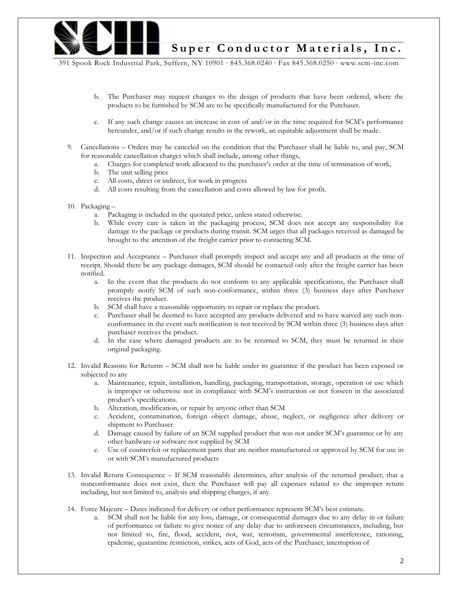

391 Spook Rock Industrial Park, Suffern, NY 10901 ∙ 845.368.0240 ∙ Fax 845.368.0250 ∙ www.scm-inc.com

- b. The Purchaser may request changes to the design of products that have been ordered, where the products to be furnished by SCM are to be specifically manufactured for the Purchaser.
- c. If any such change causes an increase in cost of and/or in the time required for SCM's performance hereunder, and/or if such change results in the rework, an equitable adjustment shall be made.
- 9. Cancellations Orders may be canceled on the condition that the Purchaser shall be liable to, and pay, SCM for reasonable cancellation charges which shall include, among other things,
	- a. Charges for completed work allocated to the purchaser's order at the time of termination of work,
	- b. The unit selling price
	- c. All costs, direct or indirect, for work in progress
	- d. All costs resulting from the cancellation and costs allowed by law for profit.
- 10. Packaging
	- a. Packaging is included in the quotated price, unless stated otherwise.
	- b. While every care is taken in the packaging process, SCM does not accept any responsibility for damage to the package or products during transit. SCM urges that all packages received as damaged be brought to the attention of the freight carrier prior to contacting SCM.
- 11. Inspection and Acceptance Purchaser shall promptly inspect and accept any and all products at the time of receipt. Should there be any package damages, SCM should be contacted only after the freight carrier has been notified.
	- a. In the event that the products do not conform to any applicable specifications, the Purchaser shall promptly notify SCM of such non-conformance, within three (3) business days after Purchaser receives the product.
	- b. SCM shall have a reasonable opportunity to repair or replace the product.
	- c. Purchaser shall be deemed to have accepted any products delivered and to have waived any such nonconformance in the event such notification is not received by SCM within three (3) business days after purchaser receives the product.
	- d. In the case where damaged products are to be returned to SCM, they must be returned in their original packaging.
- 12. Invalid Reasons for Returns SCM shall not be liable under its guarantee if the product has been exposed or subjected to any
	- a. Maintenance, repair, installation, handling, packaging, transportation, storage, operation or use which is improper or otherwise not in compliance with SCM's instruction or not forseen in the associated product's specifications.
	- b. Alteration, modification, or repair by anyone other than SCM
	- c. Accident, contamination, foreign object damage, abuse, neglect, or negligence after delivery or shipment to Purchaser
	- d. Damage caused by failure of an SCM supplied product that was not under SCM's guarantee or by any other hardware or software not supplied by SCM
	- e. Use of counterfeit or replacement parts that are neither manufactured or approved by SCM for use in or with SCM's manufactured products
- 13. Invalid Return Consequence If SCM reasonably determines, after analysis of the returned product, that a nonconformance does not exist, then the Purchaser will pay all expenses related to the improper return including, but not limited to, analysis and shipping charges, if any.
- 14. Force Majeure Dates indicated for delivery or other performance represent SCM's best estimate.
	- a. SCM shall not be liable for any loss, damage, or consequential damages due to any delay in or failure of performance or failure to give notice of any delay due to unforeseen circumstances, including, but not limited to, fire, flood, accident, riot, war, terrorism, governmental interference, rationing, epidemic, quarantine restriction, strikes, acts of God, acts of the Purchaser, interruption of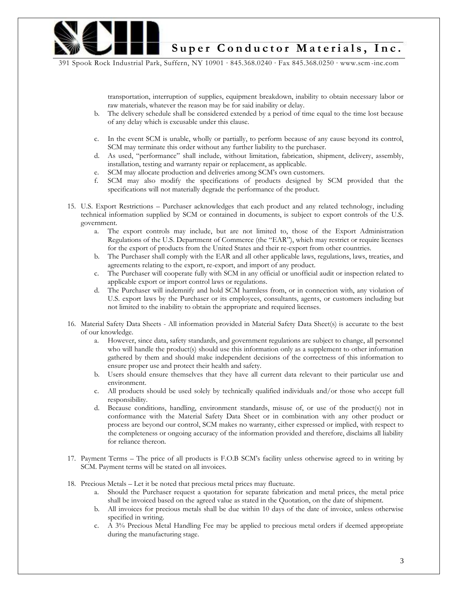

391 Spook Rock Industrial Park, Suffern, NY 10901 ∙ 845.368.0240 ∙ Fax 845.368.0250 ∙ www.scm-inc.com

transportation, interruption of supplies, equipment breakdown, inability to obtain necessary labor or raw materials, whatever the reason may be for said inability or delay.

- b. The delivery schedule shall be considered extended by a period of time equal to the time lost because of any delay which is excusable under this clause.
- c. In the event SCM is unable, wholly or partially, to perform because of any cause beyond its control, SCM may terminate this order without any further liability to the purchaser.
- d. As used, "performance" shall include, without limitation, fabrication, shipment, delivery, assembly, installation, testing and warranty repair or replacement, as applicable.
- e. SCM may allocate production and deliveries among SCM's own customers.
- f. SCM may also modify the specifications of products designed by SCM provided that the specifications will not materially degrade the performance of the product.
- 15. U.S. Export Restrictions Purchaser acknowledges that each product and any related technology, including technical information supplied by SCM or contained in documents, is subject to export controls of the U.S. government.
	- a. The export controls may include, but are not limited to, those of the Export Administration Regulations of the U.S. Department of Commerce (the "EAR"), which may restrict or require licenses for the export of products from the United States and their re-export from other countries.
	- b. The Purchaser shall comply with the EAR and all other applicable laws, regulations, laws, treaties, and agreements relating to the export, re-export, and import of any product.
	- c. The Purchaser will cooperate fully with SCM in any official or unofficial audit or inspection related to applicable export or import control laws or regulations.
	- d. The Purchaser will indemnify and hold SCM harmless from, or in connection with, any violation of U.S. export laws by the Purchaser or its employees, consultants, agents, or customers including but not limited to the inability to obtain the appropriate and required licenses.
- 16. Material Safety Data Sheets All information provided in Material Safety Data Sheet(s) is accurate to the best of our knowledge.
	- a. However, since data, safety standards, and government regulations are subject to change, all personnel who will handle the product(s) should use this information only as a supplement to other information gathered by them and should make independent decisions of the correctness of this information to ensure proper use and protect their health and safety.
	- b. Users should ensure themselves that they have all current data relevant to their particular use and environment.
	- c. All products should be used solely by technically qualified individuals and/or those who accept full responsibility.
	- d. Because conditions, handling, environment standards, misuse of, or use of the product(s) not in conformance with the Material Safety Data Sheet or in combination with any other product or process are beyond our control, SCM makes no warranty, either expressed or implied, with respect to the completeness or ongoing accuracy of the information provided and therefore, disclaims all liability for reliance thereon.
- 17. Payment Terms The price of all products is F.O.B SCM's facility unless otherwise agreed to in writing by SCM. Payment terms will be stated on all invoices.
- 18. Precious Metals Let it be noted that precious metal prices may fluctuate.
	- a. Should the Purchaser request a quotation for separate fabrication and metal prices, the metal price shall be invoiced based on the agreed value as stated in the Quotation, on the date of shipment.
	- b. All invoices for precious metals shall be due within 10 days of the date of invoice, unless otherwise specified in writing.
	- c. A 3% Precious Metal Handling Fee may be applied to precious metal orders if deemed appropriate during the manufacturing stage.